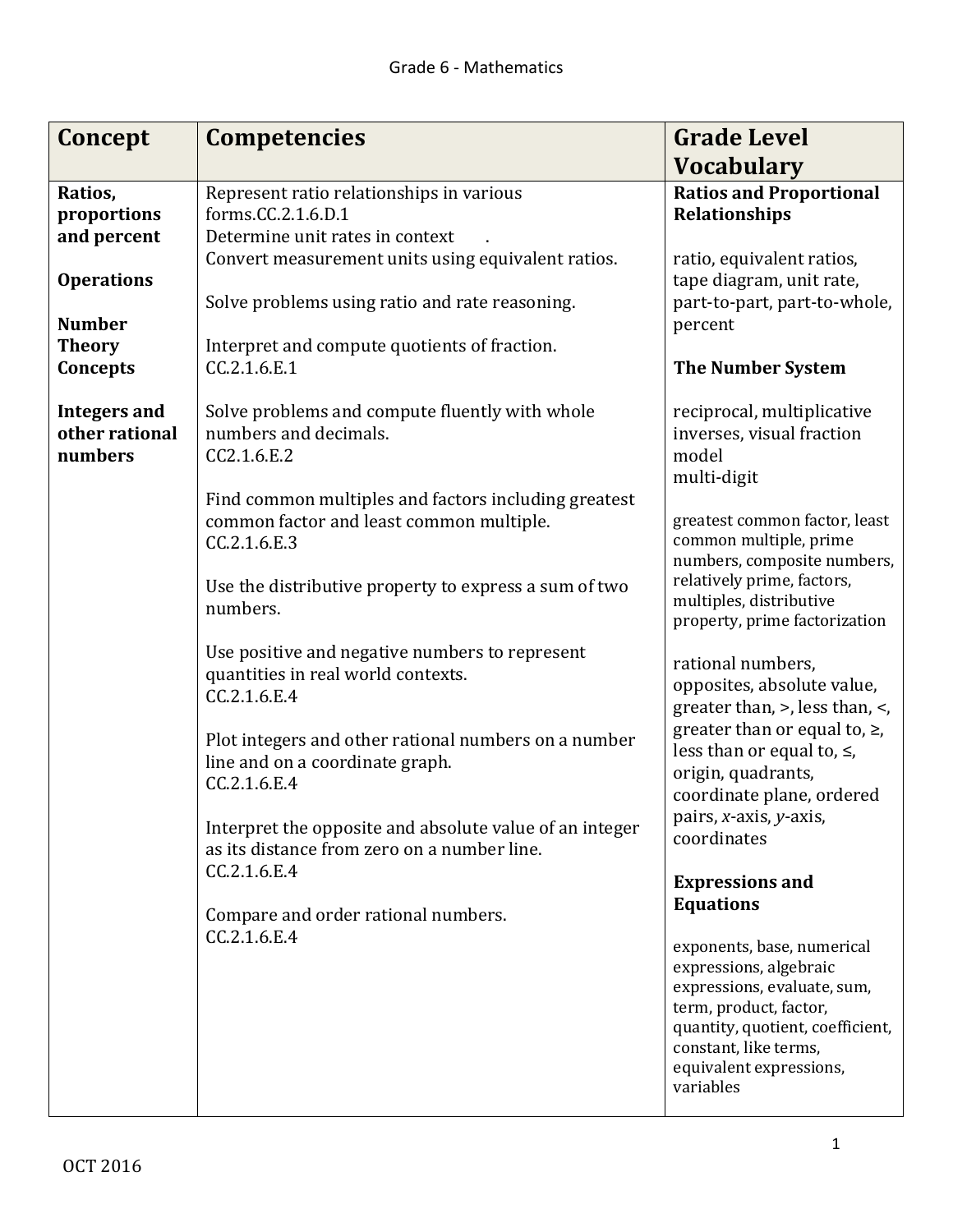| Concept                                          | <b>Competencies</b>                                                                                                                                                       | <b>Grade Level</b>                                                                                                                                                                                                 |
|--------------------------------------------------|---------------------------------------------------------------------------------------------------------------------------------------------------------------------------|--------------------------------------------------------------------------------------------------------------------------------------------------------------------------------------------------------------------|
|                                                  |                                                                                                                                                                           | <b>Vocabulary</b>                                                                                                                                                                                                  |
| Ratios,<br>proportions<br>and percent            | Represent ratio relationships in various<br>forms.CC.2.1.6.D.1<br>Determine unit rates in context                                                                         | <b>Ratios and Proportional</b><br><b>Relationships</b>                                                                                                                                                             |
| <b>Operations</b><br><b>Number</b>               | Convert measurement units using equivalent ratios.<br>Solve problems using ratio and rate reasoning.                                                                      | ratio, equivalent ratios,<br>tape diagram, unit rate,<br>part-to-part, part-to-whole,<br>percent                                                                                                                   |
| <b>Theory</b><br>Concepts                        | Interpret and compute quotients of fraction.<br>CC.2.1.6.E.1                                                                                                              | <b>The Number System</b>                                                                                                                                                                                           |
| <b>Integers and</b><br>other rational<br>numbers | Solve problems and compute fluently with whole<br>numbers and decimals.<br>CC2.1.6.E.2                                                                                    | reciprocal, multiplicative<br>inverses, visual fraction<br>model<br>multi-digit                                                                                                                                    |
|                                                  | Find common multiples and factors including greatest<br>common factor and least common multiple.<br>CC.2.1.6.E.3<br>Use the distributive property to express a sum of two | greatest common factor, least<br>common multiple, prime<br>numbers, composite numbers,<br>relatively prime, factors,                                                                                               |
|                                                  | numbers.                                                                                                                                                                  | multiples, distributive<br>property, prime factorization                                                                                                                                                           |
|                                                  | Use positive and negative numbers to represent<br>quantities in real world contexts.<br>CC.2.1.6.E.4                                                                      | rational numbers,<br>opposites, absolute value,<br>greater than, >, less than, <,                                                                                                                                  |
|                                                  | Plot integers and other rational numbers on a number<br>line and on a coordinate graph.<br>CC.2.1.6.E.4                                                                   | greater than or equal to, $\ge$ ,<br>less than or equal to, $\le$ ,<br>origin, quadrants,<br>coordinate plane, ordered                                                                                             |
|                                                  | Interpret the opposite and absolute value of an integer<br>as its distance from zero on a number line.<br>CC.2.1.6.E.4                                                    | pairs, x-axis, y-axis,<br>coordinates                                                                                                                                                                              |
|                                                  | Compare and order rational numbers.<br>CC.2.1.6.E.4                                                                                                                       | <b>Expressions and</b><br><b>Equations</b>                                                                                                                                                                         |
|                                                  |                                                                                                                                                                           | exponents, base, numerical<br>expressions, algebraic<br>expressions, evaluate, sum,<br>term, product, factor,<br>quantity, quotient, coefficient,<br>constant, like terms,<br>equivalent expressions,<br>variables |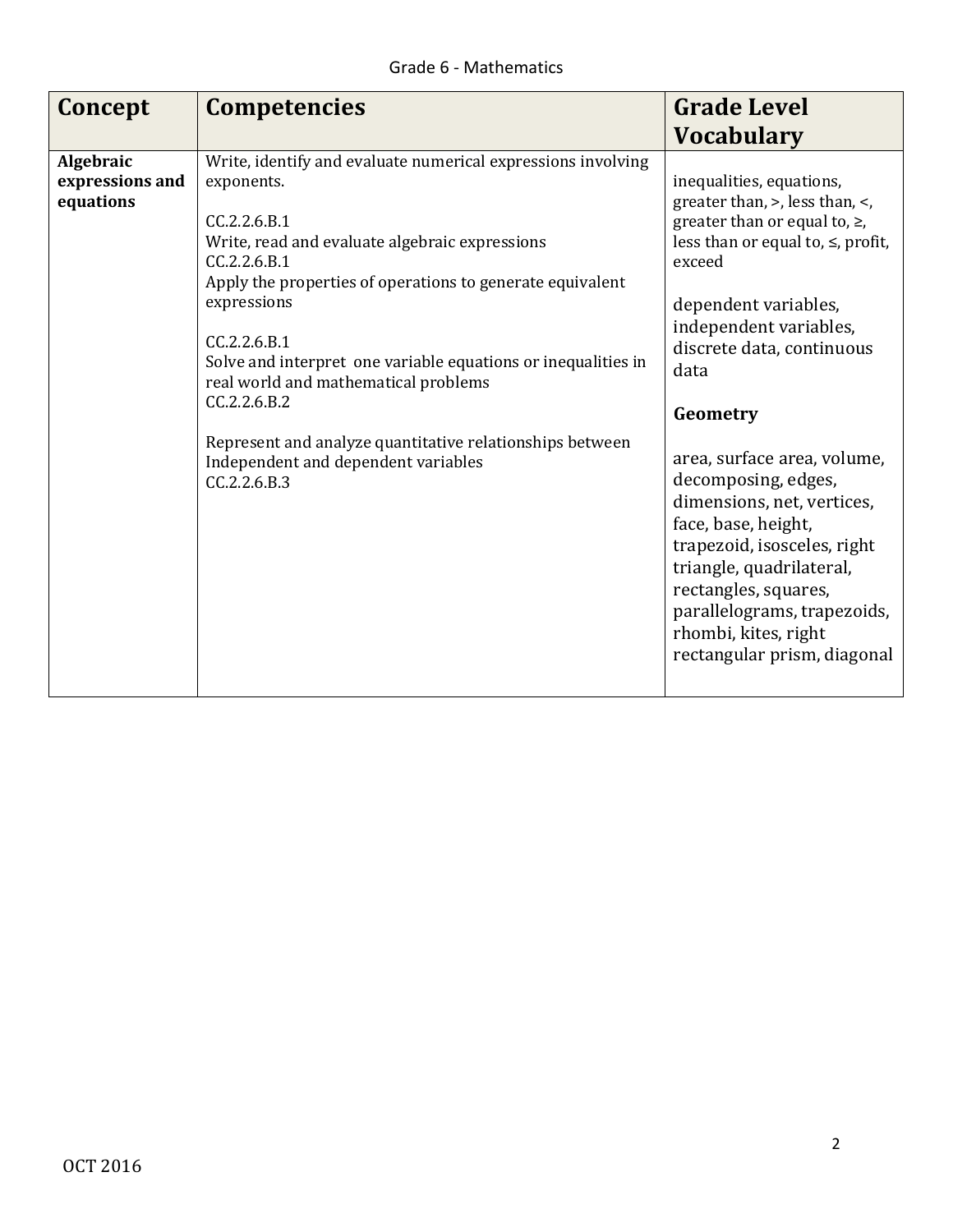| Concept                                   | <b>Competencies</b>                                                                                                                                                                                                                                                                                                                                                                                                                                                                                  | <b>Grade Level</b>                                                                                                                                                                                                                                                                                                                                                                                                                                                                                                                         |
|-------------------------------------------|------------------------------------------------------------------------------------------------------------------------------------------------------------------------------------------------------------------------------------------------------------------------------------------------------------------------------------------------------------------------------------------------------------------------------------------------------------------------------------------------------|--------------------------------------------------------------------------------------------------------------------------------------------------------------------------------------------------------------------------------------------------------------------------------------------------------------------------------------------------------------------------------------------------------------------------------------------------------------------------------------------------------------------------------------------|
|                                           |                                                                                                                                                                                                                                                                                                                                                                                                                                                                                                      | <b>Vocabulary</b>                                                                                                                                                                                                                                                                                                                                                                                                                                                                                                                          |
| Algebraic<br>expressions and<br>equations | Write, identify and evaluate numerical expressions involving<br>exponents.<br>CC.2.2.6.B.1<br>Write, read and evaluate algebraic expressions<br>CC.2.2.6.B.1<br>Apply the properties of operations to generate equivalent<br>expressions<br>CC.2.2.6.B.1<br>Solve and interpret one variable equations or inequalities in<br>real world and mathematical problems<br>CC.2.2.6.B.2<br>Represent and analyze quantitative relationships between<br>Independent and dependent variables<br>CC.2.2.6.B.3 | inequalities, equations,<br>greater than, >, less than, <,<br>greater than or equal to, $\ge$ ,<br>less than or equal to, $\le$ , profit,<br>exceed<br>dependent variables,<br>independent variables,<br>discrete data, continuous<br>data<br>Geometry<br>area, surface area, volume,<br>decomposing, edges,<br>dimensions, net, vertices,<br>face, base, height,<br>trapezoid, isosceles, right<br>triangle, quadrilateral,<br>rectangles, squares,<br>parallelograms, trapezoids,<br>rhombi, kites, right<br>rectangular prism, diagonal |